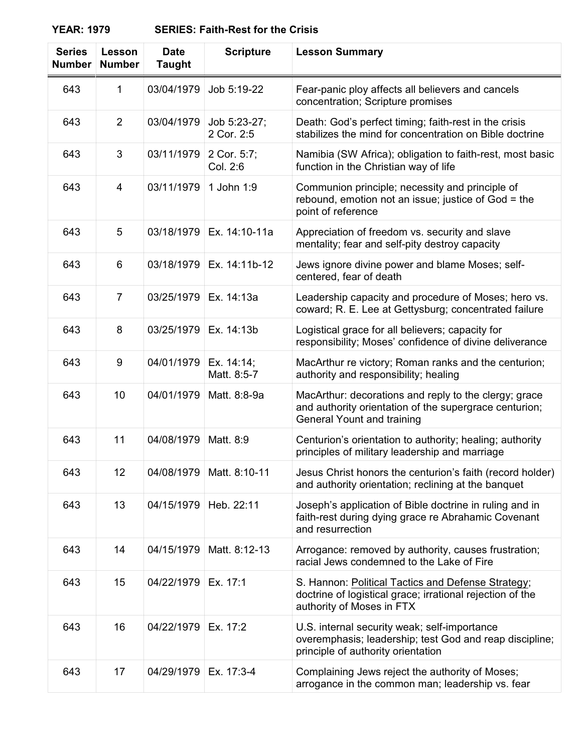**YEAR: 1979 SERIES: Faith-Rest for the Crisis**

| <b>Series</b><br><b>Number</b> | <b>Lesson</b><br><b>Number</b> | <b>Date</b><br><b>Taught</b> | <b>Scripture</b>           | <b>Lesson Summary</b>                                                                                                                                |
|--------------------------------|--------------------------------|------------------------------|----------------------------|------------------------------------------------------------------------------------------------------------------------------------------------------|
| 643                            | 1                              | 03/04/1979                   | Job 5:19-22                | Fear-panic ploy affects all believers and cancels<br>concentration; Scripture promises                                                               |
| 643                            | 2                              | 03/04/1979                   | Job 5:23-27;<br>2 Cor. 2:5 | Death: God's perfect timing; faith-rest in the crisis<br>stabilizes the mind for concentration on Bible doctrine                                     |
| 643                            | 3                              | 03/11/1979                   | 2 Cor. 5:7;<br>Col. 2:6    | Namibia (SW Africa); obligation to faith-rest, most basic<br>function in the Christian way of life                                                   |
| 643                            | 4                              | 03/11/1979                   | 1 John 1:9                 | Communion principle; necessity and principle of<br>rebound, emotion not an issue; justice of God = the<br>point of reference                         |
| 643                            | 5                              | 03/18/1979                   | Ex. 14:10-11a              | Appreciation of freedom vs. security and slave<br>mentality; fear and self-pity destroy capacity                                                     |
| 643                            | 6                              | 03/18/1979                   | Ex. 14:11b-12              | Jews ignore divine power and blame Moses; self-<br>centered, fear of death                                                                           |
| 643                            | $\overline{7}$                 | 03/25/1979                   | Ex. 14:13a                 | Leadership capacity and procedure of Moses; hero vs.<br>coward; R. E. Lee at Gettysburg; concentrated failure                                        |
| 643                            | 8                              | 03/25/1979                   | Ex. 14:13b                 | Logistical grace for all believers; capacity for<br>responsibility; Moses' confidence of divine deliverance                                          |
| 643                            | 9                              | 04/01/1979                   | Ex. 14:14;<br>Matt. 8:5-7  | MacArthur re victory; Roman ranks and the centurion;<br>authority and responsibility; healing                                                        |
| 643                            | 10                             | 04/01/1979                   | Matt. 8:8-9a               | MacArthur: decorations and reply to the clergy; grace<br>and authority orientation of the supergrace centurion;<br><b>General Yount and training</b> |
| 643                            | 11                             | 04/08/1979                   | Matt. 8:9                  | Centurion's orientation to authority; healing; authority<br>principles of military leadership and marriage                                           |
| 643                            | 12                             | 04/08/1979                   | Matt. 8:10-11              | Jesus Christ honors the centurion's faith (record holder)<br>and authority orientation; reclining at the banquet                                     |
| 643                            | 13                             | 04/15/1979                   | Heb. 22:11                 | Joseph's application of Bible doctrine in ruling and in<br>faith-rest during dying grace re Abrahamic Covenant<br>and resurrection                   |
| 643                            | 14                             | 04/15/1979                   | Matt. 8:12-13              | Arrogance: removed by authority, causes frustration;<br>racial Jews condemned to the Lake of Fire                                                    |
| 643                            | 15                             | 04/22/1979                   | Ex. 17:1                   | S. Hannon: Political Tactics and Defense Strategy;<br>doctrine of logistical grace; irrational rejection of the<br>authority of Moses in FTX         |
| 643                            | 16                             | 04/22/1979                   | Ex. 17:2                   | U.S. internal security weak; self-importance<br>overemphasis; leadership; test God and reap discipline;<br>principle of authority orientation        |
| 643                            | 17                             | 04/29/1979                   | Ex. 17:3-4                 | Complaining Jews reject the authority of Moses;<br>arrogance in the common man; leadership vs. fear                                                  |